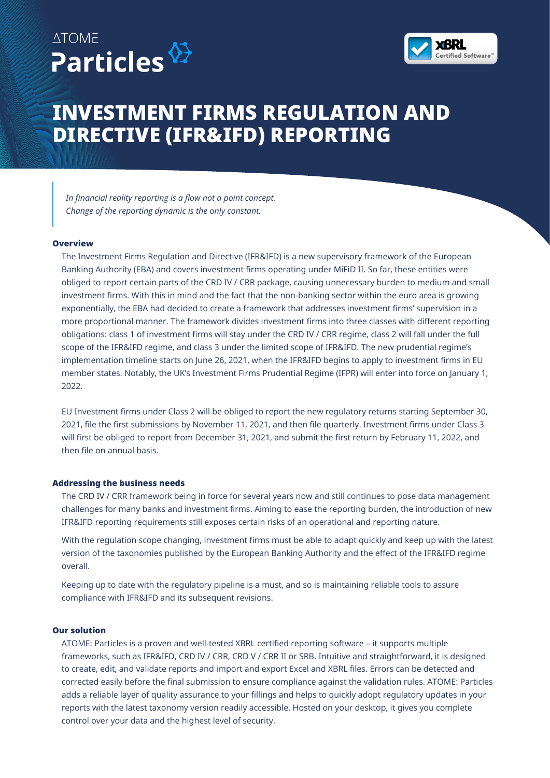



## **INVESTMENT FIRMS REGULATION AND DIRECTIVE (IFR&IFD) REPORTING**

*In financial reality reporting is a flow not a point concept. Change of the reporting dynamic is the only constant.*

#### **Overview**

The Investment Firms Regulation and Directive (IFR&IFD) is a new supervisory framework of the European Banking Authority (EBA) and covers investment firms operating under MiFiD II. So far, these entities were obliged to report certain parts of the CRD IV / CRR package, causing unnecessary burden to medium and small investment firms. With this in mind and the fact that the non-banking sector within the euro area is growing exponentially, the EBA had decided to create a framework that addresses investment firms' supervision in a more proportional manner. The framework divides investment firms into three classes with different reporting obligations: class 1 of investment firms will stay under the CRD IV / CRR regime, class 2 will fall under the full scope of the IFR&IFD regime, and class 3 under the limited scope of IFR&IFD. The new prudential regime's implementation timeline starts on June 26, 2021, when the IFR&IFD begins to apply to investment firms in EU member states. Notably, the UK's Investment Firms Prudential Regime (IFPR) will enter into force on January 1, 2022.

EU Investment firms under Class 2 will be obliged to report the new regulatory returns starting September 30, 2021, file the first submissions by November 11, 2021, and then file quarterly. Investment firms under Class 3 will first be obliged to report from December 31, 2021, and submit the first return by February 11, 2022, and then file on annual basis.

#### **Addressing the business needs**

The CRD IV / CRR framework being in force for several years now and still continues to pose data management challenges for many banks and investment firms. Aiming to ease the reporting burden, the introduction of new IFR&IFD reporting requirements still exposes certain risks of an operational and reporting nature.

With the regulation scope changing, investment firms must be able to adapt quickly and keep up with the latest version of the taxonomies published by the European Banking Authority and the effect of the IFR&IFD regime overall.

Keeping up to date with the regulatory pipeline is a must, and so is maintaining reliable tools to assure compliance with IFR&IFD and its subsequent revisions.

#### **Our solution**

ATOME: Particles is a proven and well-tested XBRL certified reporting software – it supports multiple frameworks, such as IFR&IFD, CRD IV / CRR, CRD V / CRR II or SRB. Intuitive and straightforward, it is designed to create, edit, and validate reports and import and export Excel and XBRL files. Errors can be detected and corrected easily before the final submission to ensure compliance against the validation rules. ATOME: Particles adds a reliable layer of quality assurance to your fillings and helps to quickly adopt regulatory updates in your reports with the latest taxonomy version readily accessible. Hosted on your desktop, it gives you complete control over your data and the highest level of security.